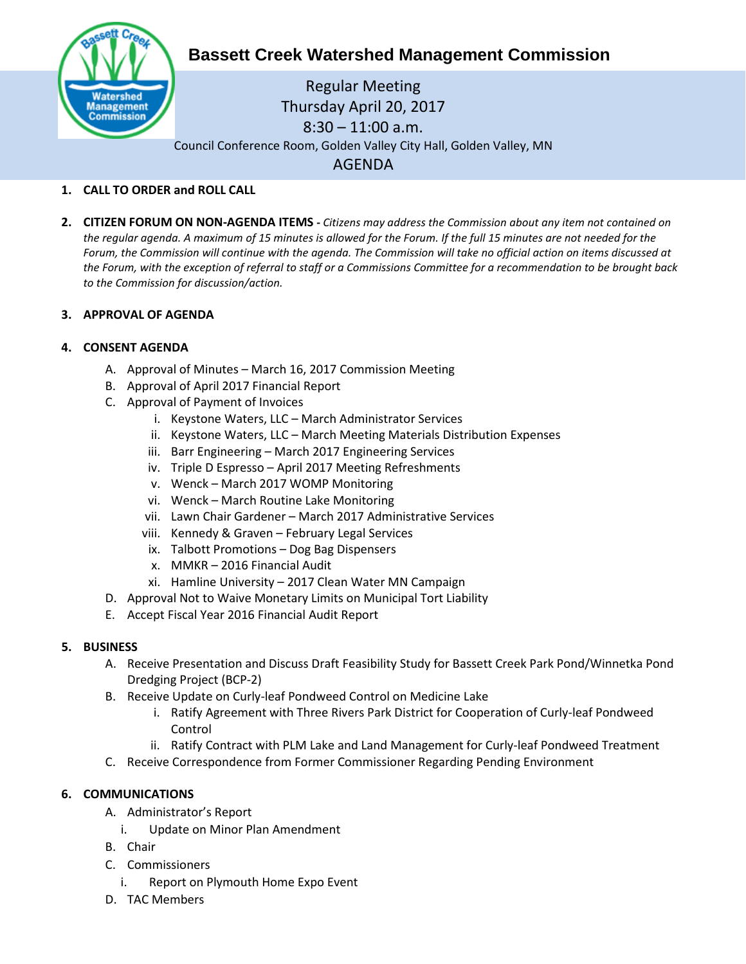

# **Bassett Creek Watershed Management Commission**

Regular Meeting Thursday April 20, 2017 8:30 – 11:00 a.m. Council Conference Room, Golden Valley City Hall, Golden Valley, MN AGENDA

# **1. CALL TO ORDER and ROLL CALL**

**2. CITIZEN FORUM ON NON-AGENDA ITEMS -** *Citizens may address the Commission about any item not contained on the regular agenda. A maximum of 15 minutes is allowed for the Forum. If the full 15 minutes are not needed for the Forum, the Commission will continue with the agenda. The Commission will take no official action on items discussed at the Forum, with the exception of referral to staff or a Commissions Committee for a recommendation to be brought back to the Commission for discussion/action.*

### **3. APPROVAL OF AGENDA**

### **4. CONSENT AGENDA**

- A. Approval of Minutes March 16, 2017 Commission Meeting
- B. Approval of April 2017 Financial Report
- C. Approval of Payment of Invoices
	- i. Keystone Waters, LLC March Administrator Services
	- ii. Keystone Waters, LLC March Meeting Materials Distribution Expenses
	- iii. Barr Engineering March 2017 Engineering Services
	- iv. Triple D Espresso April 2017 Meeting Refreshments
	- v. Wenck March 2017 WOMP Monitoring
	- vi. Wenck March Routine Lake Monitoring
	- vii. Lawn Chair Gardener March 2017 Administrative Services
	- viii. Kennedy & Graven February Legal Services
	- ix. Talbott Promotions Dog Bag Dispensers
	- x. MMKR 2016 Financial Audit
	- xi. Hamline University 2017 Clean Water MN Campaign
- D. Approval Not to Waive Monetary Limits on Municipal Tort Liability
- E. Accept Fiscal Year 2016 Financial Audit Report

#### **5. BUSINESS**

- A. Receive Presentation and Discuss Draft Feasibility Study for Bassett Creek Park Pond/Winnetka Pond Dredging Project (BCP-2)
- B. Receive Update on Curly-leaf Pondweed Control on Medicine Lake
	- i. Ratify Agreement with Three Rivers Park District for Cooperation of Curly-leaf Pondweed Control
	- ii. Ratify Contract with PLM Lake and Land Management for Curly-leaf Pondweed Treatment
- C. Receive Correspondence from Former Commissioner Regarding Pending Environment

## **6. COMMUNICATIONS**

- A. Administrator's Report
	- i. Update on Minor Plan Amendment
- B. Chair
- C. Commissioners
	- i. Report on Plymouth Home Expo Event
- D. TAC Members